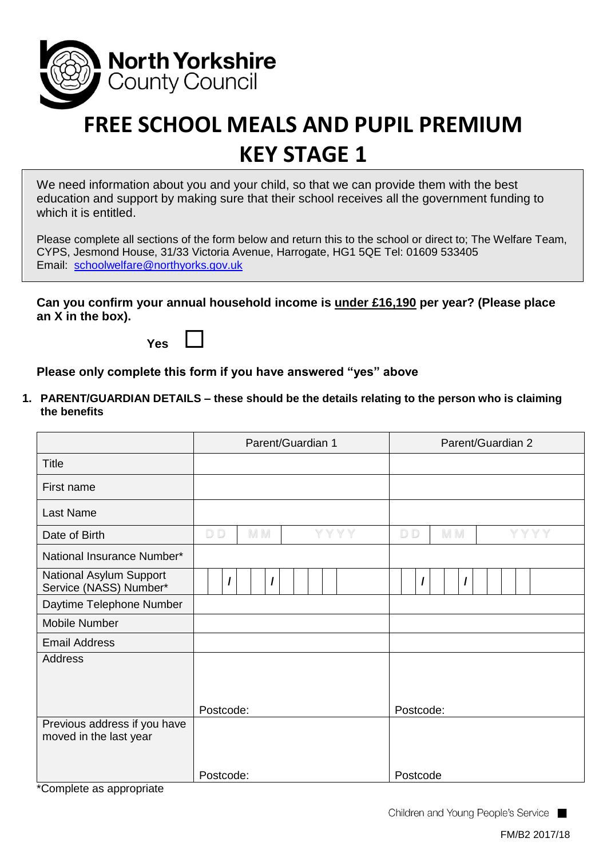

## **FREE SCHOOL MEALS AND PUPIL PREMIUM KEY STAGE 1**

We need information about you and your child, so that we can provide them with the best education and support by making sure that their school receives all the government funding to which it is entitled.

Please complete all sections of the form below and return this to the school or direct to; The Welfare Team, CYPS, Jesmond House, 31/33 Victoria Avenue, Harrogate, HG1 5QE Tel: 01609 533405 Email: [schoolwelfare@northyorks.gov.uk](mailto:schoolwelfare@northyorks.gov.uk)

**Can you confirm your annual household income is under £16,190 per year? (Please place an X in the box).**

**Yes**

**Please only complete this form if you have answered "yes" above**

**1. PARENT/GUARDIAN DETAILS – these should be the details relating to the person who is claiming the benefits**

|                                                        | Parent/Guardian 1     | Parent/Guardian 2     |  |  |
|--------------------------------------------------------|-----------------------|-----------------------|--|--|
| <b>Title</b>                                           |                       |                       |  |  |
| First name                                             |                       |                       |  |  |
| <b>Last Name</b>                                       |                       |                       |  |  |
| Date of Birth                                          | D <sub>D</sub><br>M M | D <sub>D</sub><br>M M |  |  |
| National Insurance Number*                             |                       |                       |  |  |
| National Asylum Support<br>Service (NASS) Number*      | $\prime$<br>$\prime$  | $\prime$              |  |  |
| Daytime Telephone Number                               |                       |                       |  |  |
| Mobile Number                                          |                       |                       |  |  |
| <b>Email Address</b>                                   |                       |                       |  |  |
| <b>Address</b>                                         | Postcode:             | Postcode:             |  |  |
| Previous address if you have<br>moved in the last year |                       |                       |  |  |
|                                                        | Postcode:             | Postcode              |  |  |

\*Complete as appropriate

Children and Young People's Service